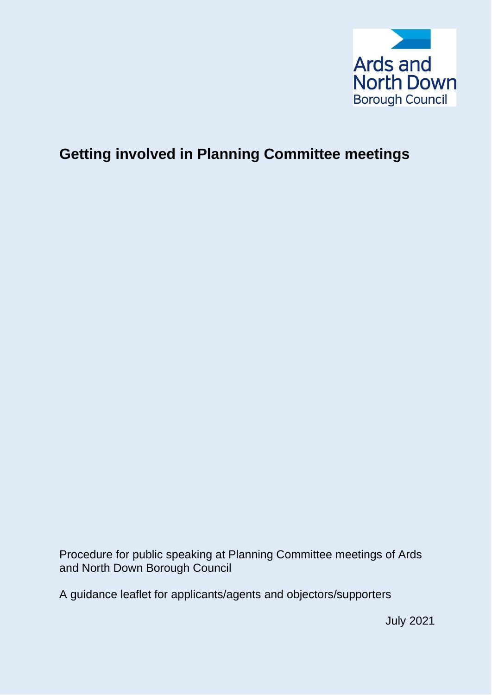

# **Getting involved in Planning Committee meetings**

Procedure for public speaking at Planning Committee meetings of Ards and North Down Borough Council

A guidance leaflet for applicants/agents and objectors/supporters

July 2021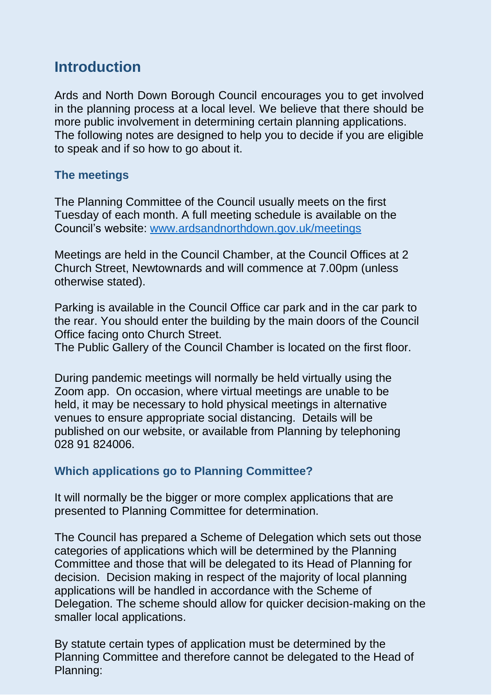# **Introduction**

Ards and North Down Borough Council encourages you to get involved in the planning process at a local level. We believe that there should be more public involvement in determining certain planning applications. The following notes are designed to help you to decide if you are eligible to speak and if so how to go about it.

## **The meetings**

The Planning Committee of the Council usually meets on the first Tuesday of each month. A full meeting schedule is available on the Council's website: [www.ardsandnorthdown.gov.uk/meetings](http://www.ardsandnorthdown.gov.uk/meetings)

Meetings are held in the Council Chamber, at the Council Offices at 2 Church Street, Newtownards and will commence at 7.00pm (unless otherwise stated).

Parking is available in the Council Office car park and in the car park to the rear. You should enter the building by the main doors of the Council Office facing onto Church Street.

The Public Gallery of the Council Chamber is located on the first floor.

During pandemic meetings will normally be held virtually using the Zoom app. On occasion, where virtual meetings are unable to be held, it may be necessary to hold physical meetings in alternative venues to ensure appropriate social distancing. Details will be published on our website, or available from Planning by telephoning 028 91 824006.

## **Which applications go to Planning Committee?**

It will normally be the bigger or more complex applications that are presented to Planning Committee for determination.

The Council has prepared a Scheme of Delegation which sets out those categories of applications which will be determined by the Planning Committee and those that will be delegated to its Head of Planning for decision. Decision making in respect of the majority of local planning applications will be handled in accordance with the Scheme of Delegation. The scheme should allow for quicker decision-making on the smaller local applications.

By statute certain types of application must be determined by the Planning Committee and therefore cannot be delegated to the Head of Planning: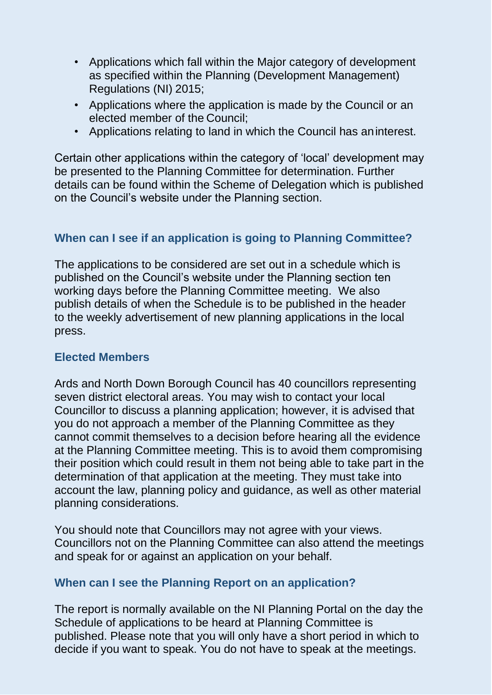- Applications which fall within the Major category of development as specified within the Planning (Development Management) Regulations (NI) 2015;
- Applications where the application is made by the Council or an elected member of the Council;
- Applications relating to land in which the Council has aninterest.

Certain other applications within the category of 'local' development may be presented to the Planning Committee for determination. Further details can be found within the Scheme of Delegation which is published on the Council's website under the Planning section.

## **When can I see if an application is going to Planning Committee?**

The applications to be considered are set out in a schedule which is published on the Council's website under the Planning section ten working days before the Planning Committee meeting. We also publish details of when the Schedule is to be published in the header to the weekly advertisement of new planning applications in the local press.

## **Elected Members**

Ards and North Down Borough Council has 40 councillors representing seven district electoral areas. You may wish to contact your local Councillor to discuss a planning application; however, it is advised that you do not approach a member of the Planning Committee as they cannot commit themselves to a decision before hearing all the evidence at the Planning Committee meeting. This is to avoid them compromising their position which could result in them not being able to take part in the determination of that application at the meeting. They must take into account the law, planning policy and guidance, as well as other material planning considerations.

You should note that Councillors may not agree with your views. Councillors not on the Planning Committee can also attend the meetings and speak for or against an application on your behalf.

## **When can I see the Planning Report on an application?**

The report is normally available on the NI Planning Portal on the day the Schedule of applications to be heard at Planning Committee is published. Please note that you will only have a short period in which to decide if you want to speak. You do not have to speak at the meetings.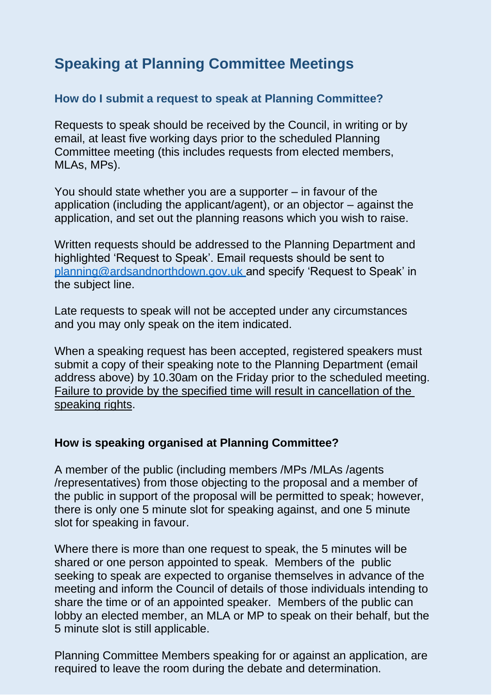# **Speaking at Planning Committee Meetings**

## **How do I submit a request to speak at Planning Committee?**

Requests to speak should be received by the Council, in writing or by email, at least five working days prior to the scheduled Planning Committee meeting (this includes requests from elected members, MLAs, MPs).

You should state whether you are a supporter – in favour of the application (including the applicant/agent), or an objector – against the application, and set out the planning reasons which you wish to raise.

Written requests should be addressed to the Planning Department and highlighted 'Request to Speak'. Email requests should be sent to [planning@ardsandnorthdown.gov.uk](mailto:planning@ardsandnorthdown.gov.uk) and specify 'Request to Speak' in the subject line.

Late requests to speak will not be accepted under any circumstances and you may only speak on the item indicated.

When a speaking request has been accepted, registered speakers must submit a copy of their speaking note to the Planning Department (email address above) by 10.30am on the Friday prior to the scheduled meeting. Failure to provide by the specified time will result in cancellation of the speaking rights.

### **How is speaking organised at Planning Committee?**

A member of the public (including members /MPs /MLAs /agents /representatives) from those objecting to the proposal and a member of the public in support of the proposal will be permitted to speak; however, there is only one 5 minute slot for speaking against, and one 5 minute slot for speaking in favour.

Where there is more than one request to speak, the 5 minutes will be shared or one person appointed to speak. Members of the public seeking to speak are expected to organise themselves in advance of the meeting and inform the Council of details of those individuals intending to share the time or of an appointed speaker. Members of the public can lobby an elected member, an MLA or MP to speak on their behalf, but the 5 minute slot is still applicable.

Planning Committee Members speaking for or against an application, are required to leave the room during the debate and determination.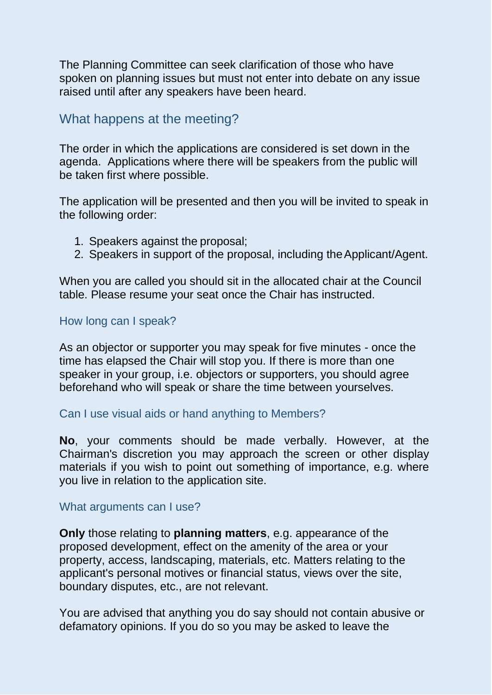The Planning Committee can seek clarification of those who have spoken on planning issues but must not enter into debate on any issue raised until after any speakers have been heard.

## What happens at the meeting?

The order in which the applications are considered is set down in the agenda. Applications where there will be speakers from the public will be taken first where possible.

The application will be presented and then you will be invited to speak in the following order:

- 1. Speakers against the proposal;
- 2. Speakers in support of the proposal, including the Applicant/Agent.

When you are called you should sit in the allocated chair at the Council table. Please resume your seat once the Chair has instructed.

### How long can I speak?

As an objector or supporter you may speak for five minutes - once the time has elapsed the Chair will stop you. If there is more than one speaker in your group, i.e. objectors or supporters, you should agree beforehand who will speak or share the time between yourselves.

### Can I use visual aids or hand anything to Members?

**No**, your comments should be made verbally. However, at the Chairman's discretion you may approach the screen or other display materials if you wish to point out something of importance, e.g. where you live in relation to the application site.

#### What arguments can I use?

**Only** those relating to **planning matters**, e.g. appearance of the proposed development, effect on the amenity of the area or your property, access, landscaping, materials, etc. Matters relating to the applicant's personal motives or financial status, views over the site, boundary disputes, etc., are not relevant.

You are advised that anything you do say should not contain abusive or defamatory opinions. If you do so you may be asked to leave the